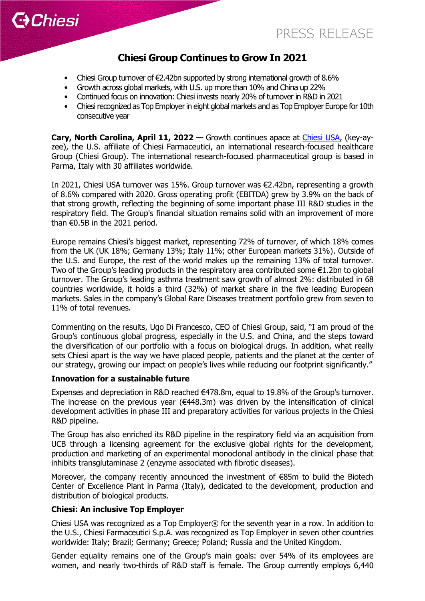



# **Chiesi Group Continues to Grow In 2021**

- Chiesi Group turnover of €2.42bn supported by strong international growth of 8.6%
- Growth across global markets, with U.S. up more than 10% and China up 22%
- Continued focus on innovation: Chiesi invests nearly 20% of turnover in R&D in 2021
- Chiesi recognized as Top Employer in eight global markets and as Top Employer Europe for 10th consecutive year

**Cary, North Carolina, April 11, 2022 —** Growth continues apace at [Chiesi](https://www.chiesiusa.com/) USA, (key-ayzee), the U.S. affiliate of Chiesi Farmaceutici, an international research-focused healthcare Group (Chiesi Group). The international research-focused pharmaceutical group is based in Parma, Italy with 30 affiliates worldwide.

In 2021, Chiesi USA turnover was 15%. Group turnover was €2.42bn, representing a growth of 8.6% compared with 2020. Gross operating profit (EBITDA) grew by 3.9% on the back of that strong growth, reflecting the beginning of some important phase III R&D studies in the respiratory field. The Group's financial situation remains solid with an improvement of more than €0.5B in the 2021 period.

Europe remains Chiesi's biggest market, representing 72% of turnover, of which 18% comes from the UK (UK 18%; Germany 13%; Italy 11%; other European markets 31%). Outside of the U.S. and Europe, the rest of the world makes up the remaining 13% of total turnover. Two of the Group's leading products in the respiratory area contributed some €1.2bn to global turnover. The Group's leading asthma treatment saw growth of almost 2%: distributed in 68 countries worldwide, it holds a third (32%) of market share in the five leading European markets. Sales in the company's Global Rare Diseases treatment portfolio grew from seven to 11% of total revenues.

Commenting on the results, Ugo Di Francesco, CEO of Chiesi Group, said, "I am proud of the Group's continuous global progress, especially in the U.S. and China, and the steps toward the diversification of our portfolio with a focus on biological drugs. In addition, what really sets Chiesi apart is the way we have placed people, patients and the planet at the center of our strategy, growing our impact on people's lives while reducing our footprint significantly."

# **Innovation for a sustainable future**

Expenses and depreciation in R&D reached  $\epsilon$ 478.8m, equal to 19.8% of the Group's turnover. The increase on the previous year ( $6448.3m$ ) was driven by the intensification of clinical development activities in phase III and preparatory activities for various projects in the Chiesi R&D pipeline.

The Group has also enriched its R&D pipeline in the respiratory field via an acquisition from UCB through a licensing agreement for the exclusive global rights for the development, production and marketing of an experimental monoclonal antibody in the clinical phase that inhibits transglutaminase 2 (enzyme associated with fibrotic diseases).

Moreover, the company recently announced the investment of €85m to build the Biotech Center of Excellence Plant in Parma (Italy), dedicated to the development, production and distribution of biological products.

# **Chiesi: An inclusive Top Employer**

Chiesi USA was recognized as a Top Employer® for the seventh year in a row. In addition to the U.S., Chiesi Farmaceutici S.p.A. was recognized as Top Employer in seven other countries worldwide: Italy; Brazil; Germany; Greece; Poland; Russia and the United Kingdom.

Gender equality remains one of the Group's main goals: over 54% of its employees are women, and nearly two-thirds of R&D staff is female. The Group currently employs 6,440